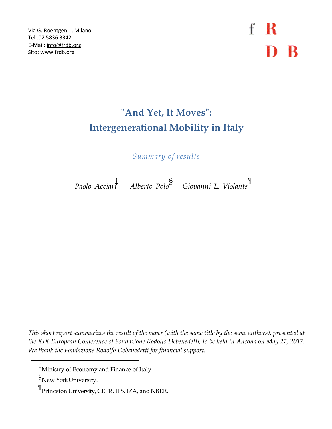Via G. Roentgen 1, Milano Tel.:02 5836 3342 E-Mail: [info@frdb.org](mailto:info@frdb.org) Sito[: www.frdb.org](http://www.frdb.org/)

 $f \, R$ D B

## **"And Yet, It Moves": Intergenerational Mobility in Italy**

*Summary of results*

*Paolo Acciari*

‡ *Alberto Polo*§ *Giovanni L. Violante*¶

This short report summarizes the result of the paper (with the same title by the same authors), presented at *the XIX European Conference of Fondazione Rodolfo Debenedetti, to be held in Ancona on May 27, 2017. We thank the Fondazione Rodolfo Debenedetti for financial support.*

‡Ministry of Economy and Finance of Italy.

s<br>New York University.

 $\P$ Princeton University, CEPR, IFS, IZA, and NBER.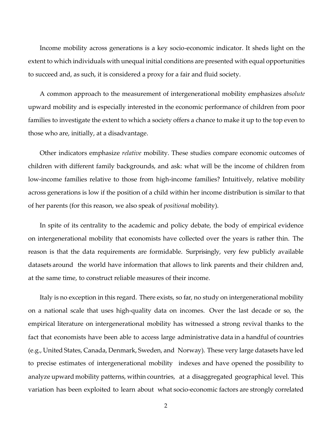Income mobility across generations is a key socio-economic indicator. It sheds light on the extent to which individuals with unequal initial conditions are presented with equal opportunities to succeed and, as such, it is considered a proxy for a fair and fluid society.

A common approach to the measurement of intergenerational mobility emphasizes *absolute* upward mobility and is especially interested in the economic performance of children from poor families to investigate the extent to which a society offers a chance to make it up to the top even to those who are, initially, at a disadvantage.

Other indicators emphasize *relative* mobility. These studies compare economic outcomes of children with different family backgrounds, and ask: what will be the income of children from low-income families relative to those from high-income families? Intuitively, relative mobility across generations is low if the position of a child within her income distribution is similar to that of her parents (for this reason, we also speak of *positional* mobility).

In spite of its centrality to the academic and policy debate, the body of empirical evidence on intergenerational mobility that economists have collected over the years is rather thin. The reason is that the data requirements are formidable. Surprisingly, very few publicly available datasets around the world have information that allows to link parents and their children and, at the same time, to construct reliable measures of their income.

Italy is no exception in this regard. There exists, so far, no study on intergenerational mobility on a national scale that uses high-quality data on incomes. Over the last decade or so, the empirical literature on intergenerational mobility has witnessed a strong revival thanks to the fact that economists have been able to access large administrative data in a handful of countries (e.g., United States, Canada, Denmark, Sweden, and Norway). These very large datasets have led to precise estimates of intergenerational mobility indexes and have opened the possibility to analyze upward mobility patterns, within countries, at a disaggregated geographical level. This variation has been exploited to learn about what socio-economic factors are strongly correlated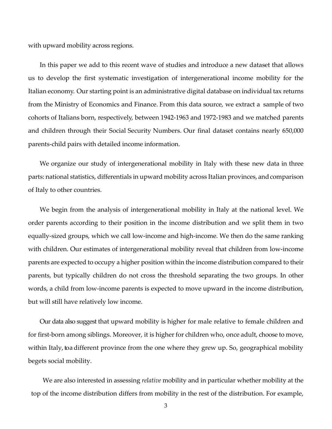with upward mobility across regions.

In this paper we add to this recent wave of studies and introduce a new dataset that allows us to develop the first systematic investigation of intergenerational income mobility for the Italian economy. Our starting point is an administrative digital database on individual tax returns from the Ministry of Economics and Finance. From this data source, we extract a sample of two cohorts of Italians born, respectively, between 1942-1963 and 1972-1983 and we matched parents and children through their Social Security Numbers. Our final dataset contains nearly 650,000 parents-child pairs with detailed income information.

We organize our study of intergenerational mobility in Italy with these new data in three parts: national statistics, differentials in upward mobility across Italian provinces, andcomparison of Italy to other countries.

We begin from the analysis of intergenerational mobility in Italy at the national level. We order parents according to their position in the income distribution and we split them in two equally-sized groups, which we call low-income and high-income. We then do the same ranking with children. Our estimates of intergenerational mobility reveal that children from low-income parents are expected to occupy a higher position within the income distribution compared to their parents, but typically children do not cross the threshold separating the two groups. In other words, a child from low-income parents is expected to move upward in the income distribution, but will still have relatively low income.

Our data also suggest that upward mobility is higher for male relative to female children and for first-born among siblings. Moreover, it is higher for children who, once adult, choose to move, within Italy, to a different province from the one where they grew up. So, geographical mobility begets social mobility.

We are also interested in assessing *relative* mobility and in particular whether mobility at the top of the income distribution differs from mobility in the rest of the distribution. For example,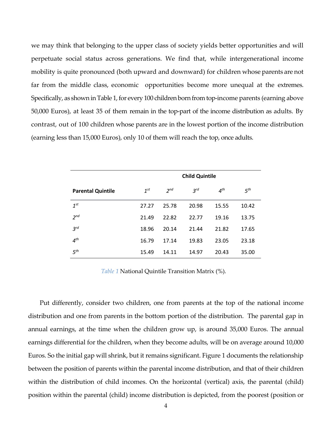we may think that belonging to the upper class of society yields better opportunities and will perpetuate social status across generations. We find that, while intergenerational income mobility is quite pronounced (both upward and downward) for children whose parents are not far from the middle class, economic opportunities become more unequal at the extremes. Specifically, as shown in Table 1, for every 100 children born from top-income parents (earning above 50,000 Euros), at least 35 of them remain in the top-part of the income distribution as adults. By contrast, out of 100 children whose parents are in the lowest portion of the income distribution (earning less than 15,000 Euros), only 10 of them will reach the top, once adults.

|                          | <b>Child Quintile</b> |                 |          |          |                 |
|--------------------------|-----------------------|-----------------|----------|----------|-----------------|
| <b>Parental Quintile</b> | $1^{st}$              | 2 <sub>nd</sub> | $2^{rd}$ | $4^{th}$ | 5 <sup>th</sup> |
| $1^{st}$                 | 27.27                 | 25.78           | 20.98    | 15.55    | 10.42           |
| 2 <sup>nd</sup>          | 21.49                 | 22.82           | 22.77    | 19.16    | 13.75           |
| 3 <sup>rd</sup>          | 18.96                 | 20.14           | 21.44    | 21.82    | 17.65           |
| 4 <sup>th</sup>          | 16.79                 | 17.14           | 19.83    | 23.05    | 23.18           |
| 5 <sup>th</sup>          | 15.49                 | 14.11           | 14.97    | 20.43    | 35.00           |

*Table 1* National Quintile Transition Matrix (%).

Put differently, consider two children, one from parents at the top of the national income distribution and one from parents in the bottom portion of the distribution. The parental gap in annual earnings, at the time when the children grow up, is around 35,000 Euros. The annual earnings differential for the children, when they become adults, will be on average around 10,000 Euros. So the initial gap will shrink, but it remains significant. [Figure 1](#page-4-0) documents the relationship between the position of parents within the parental income distribution, and that of their children within the distribution of child incomes. On the horizontal (vertical) axis, the parental (child) position within the parental (child) income distribution is depicted, from the poorest (position or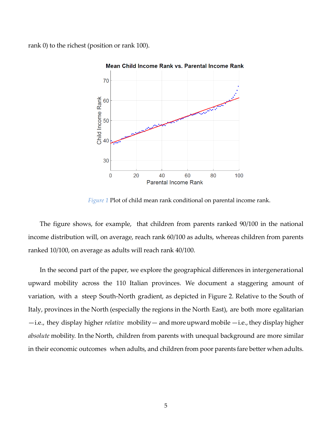rank 0) to the richest (position or rank 100).



Mean Child Income Rank vs. Parental Income Rank

*Figure 1* Plot of child mean rank conditional on parental income rank.

<span id="page-4-0"></span>The figure shows, for example, that children from parents ranked 90/100 in the national income distribution will, on average, reach rank 60/100 as adults, whereas children from parents ranked 10/100, on average as adults will reach rank 40/100.

In the second part of the paper, we explore the geographical differences in intergenerational upward mobility across the 110 Italian provinces. We document a staggering amount of variation, with a steep South-North gradient, as depicted in [Figure 2.](#page-5-0) Relative to the South of Italy, provinces in the North (especially the regions in the North East), are both more egalitarian —i.e., they display higher *relative* mobility—and more upward mobile —i.e., they display higher *absolute* mobility. In the North, children from parents with unequal background are more similar in their economic outcomes when adults, and children from poor parents fare better when adults.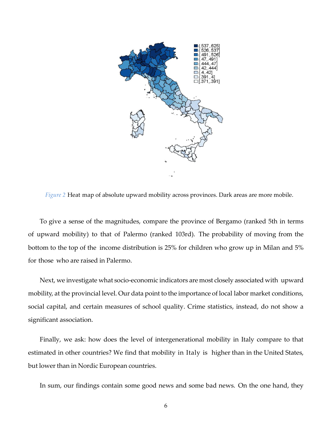

<span id="page-5-0"></span>*Figure 2* Heat map of absolute upward mobility across provinces. Dark areas are more mobile.

To give a sense of the magnitudes, compare the province of Bergamo (ranked 5th in terms of upward mobility) to that of Palermo (ranked 103rd). The probability of moving from the bottom to the top of the income distribution is 25% for children who grow up in Milan and 5% for those who are raised in Palermo.

Next, we investigate what socio-economic indicators are most closely associated with upward mobility, at the provincial level. Our data point to the importance of local labor market conditions, social capital, and certain measures of school quality. Crime statistics, instead, do not show a significant association.

Finally, we ask: how does the level of intergenerational mobility in Italy compare to that estimated in other countries? We find that mobility in Italy is higher than in the United States, but lower than in Nordic European countries.

In sum, our findings contain some good news and some bad news. On the one hand, they